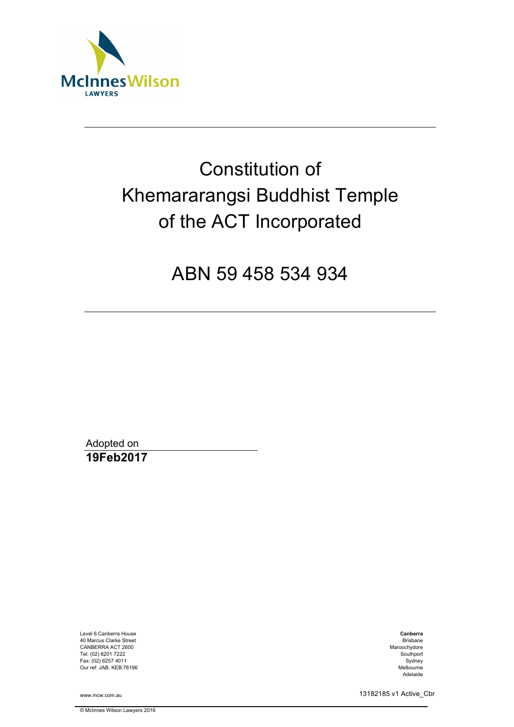

# Constitution of Khemararangsi Buddhist Temple of the ACT Incorporated

ABN 59 458 534 934

Adopted on **19Feb2017** 

Level 6 Canberra House 40 Marcus Clarke Street CANBERRA ACT 2600 Tel: (02) 6201 7222 Fax: (02) 6257 4011 Our ref: JAB: KEB:76196

www.mcw.com.au

© McInnes Wilson Lawyers 2016

**Canberra** Brisbane Maroochydore Southport Sydney Melbourne Adelaide

13182185 v1 Active\_Cbr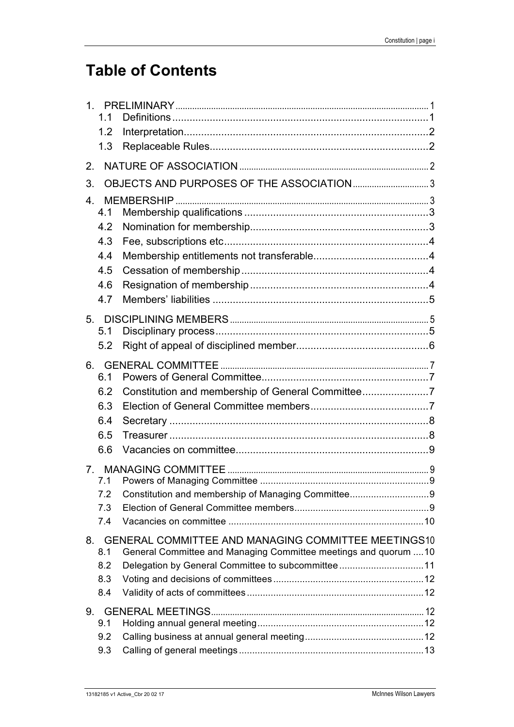## **Table of Contents**

| $\mathbf{1}$ .                 |            |                                                                  |  |
|--------------------------------|------------|------------------------------------------------------------------|--|
|                                | 1.1        |                                                                  |  |
|                                | 1.2        |                                                                  |  |
|                                | 1.3        |                                                                  |  |
| 2.                             |            |                                                                  |  |
| 3.                             |            | OBJECTS AND PURPOSES OF THE ASSOCIATION3                         |  |
| $4_{\cdot}$                    |            |                                                                  |  |
|                                | 4.1        |                                                                  |  |
|                                | 4.2        |                                                                  |  |
|                                | 4.3        |                                                                  |  |
|                                | 4.4        |                                                                  |  |
|                                | 4.5        |                                                                  |  |
|                                | 4.6        |                                                                  |  |
|                                | 4.7        |                                                                  |  |
| 5.                             |            |                                                                  |  |
|                                | 5.1        |                                                                  |  |
|                                | 5.2        |                                                                  |  |
|                                |            |                                                                  |  |
|                                | 6.1        |                                                                  |  |
|                                | 6.2        |                                                                  |  |
|                                | 6.3        |                                                                  |  |
|                                | 6.4        |                                                                  |  |
|                                | 6.5        |                                                                  |  |
|                                |            |                                                                  |  |
|                                | 6.6        |                                                                  |  |
| $7_{\scriptscriptstyle{\sim}}$ |            |                                                                  |  |
|                                | 7.1        |                                                                  |  |
|                                | 7.2        |                                                                  |  |
|                                | 7.3<br>7.4 |                                                                  |  |
|                                |            |                                                                  |  |
| 8.                             |            | <b>GENERAL COMMITTEE AND MANAGING COMMITTEE MEETINGS10</b>       |  |
|                                | 8.1        | General Committee and Managing Committee meetings and quorum  10 |  |
|                                | 8.2<br>8.3 | Delegation by General Committee to subcommittee11                |  |
|                                | 8.4        |                                                                  |  |
|                                |            |                                                                  |  |
| 9.                             | 9.1        |                                                                  |  |
|                                | 9.2        |                                                                  |  |
|                                | 9.3        |                                                                  |  |
|                                |            |                                                                  |  |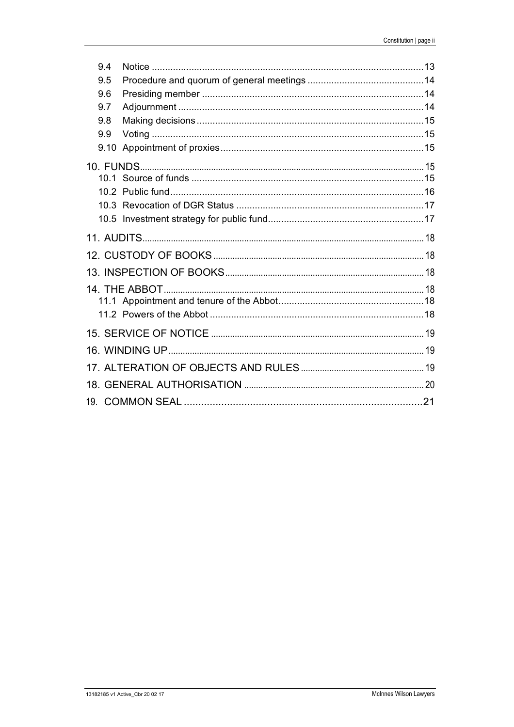| 9.4  |  |  |  |  |  |
|------|--|--|--|--|--|
| 9.5  |  |  |  |  |  |
| 9.6  |  |  |  |  |  |
| 9.7  |  |  |  |  |  |
| 9.8  |  |  |  |  |  |
| 9.9  |  |  |  |  |  |
| 9.10 |  |  |  |  |  |
|      |  |  |  |  |  |
|      |  |  |  |  |  |
|      |  |  |  |  |  |
|      |  |  |  |  |  |
|      |  |  |  |  |  |
|      |  |  |  |  |  |
|      |  |  |  |  |  |
|      |  |  |  |  |  |
|      |  |  |  |  |  |
|      |  |  |  |  |  |
|      |  |  |  |  |  |
|      |  |  |  |  |  |
|      |  |  |  |  |  |
|      |  |  |  |  |  |
|      |  |  |  |  |  |
|      |  |  |  |  |  |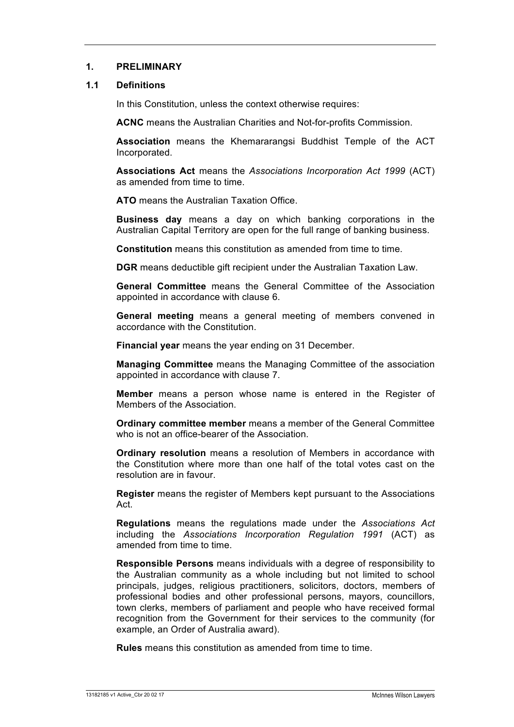#### **1. PRELIMINARY**

#### **1.1 Definitions**

In this Constitution, unless the context otherwise requires:

**ACNC** means the Australian Charities and Not-for-profits Commission.

**Association** means the Khemararangsi Buddhist Temple of the ACT Incorporated.

**Associations Act** means the *Associations Incorporation Act 1999* (ACT) as amended from time to time.

**ATO** means the Australian Taxation Office.

**Business day** means a day on which banking corporations in the Australian Capital Territory are open for the full range of banking business.

**Constitution** means this constitution as amended from time to time.

**DGR** means deductible gift recipient under the Australian Taxation Law.

**General Committee** means the General Committee of the Association appointed in accordance with clause 6.

**General meeting** means a general meeting of members convened in accordance with the Constitution.

**Financial year** means the year ending on 31 December.

**Managing Committee** means the Managing Committee of the association appointed in accordance with clause 7.

**Member** means a person whose name is entered in the Register of Members of the Association.

**Ordinary committee member** means a member of the General Committee who is not an office-bearer of the Association.

**Ordinary resolution** means a resolution of Members in accordance with the Constitution where more than one half of the total votes cast on the resolution are in favour.

**Register** means the register of Members kept pursuant to the Associations Act.

**Regulations** means the regulations made under the *Associations Act* including the *Associations Incorporation Regulation 1991* (ACT) as amended from time to time.

**Responsible Persons** means individuals with a degree of responsibility to the Australian community as a whole including but not limited to school principals, judges, religious practitioners, solicitors, doctors, members of professional bodies and other professional persons, mayors, councillors, town clerks, members of parliament and people who have received formal recognition from the Government for their services to the community (for example, an Order of Australia award).

**Rules** means this constitution as amended from time to time.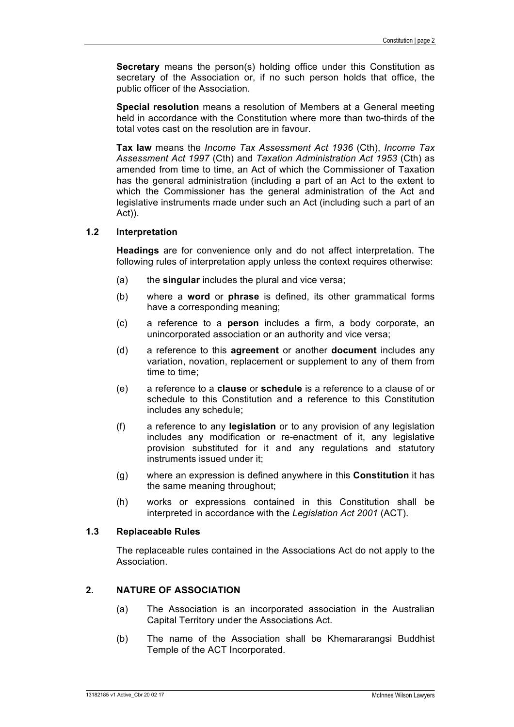**Secretary** means the person(s) holding office under this Constitution as secretary of the Association or, if no such person holds that office, the public officer of the Association.

**Special resolution** means a resolution of Members at a General meeting held in accordance with the Constitution where more than two-thirds of the total votes cast on the resolution are in favour.

**Tax law** means the *Income Tax Assessment Act 1936* (Cth), *Income Tax Assessment Act 1997* (Cth) and *Taxation Administration Act 1953* (Cth) as amended from time to time, an Act of which the Commissioner of Taxation has the general administration (including a part of an Act to the extent to which the Commissioner has the general administration of the Act and legislative instruments made under such an Act (including such a part of an Act)).

#### **1.2 Interpretation**

**Headings** are for convenience only and do not affect interpretation. The following rules of interpretation apply unless the context requires otherwise:

- (a) the **singular** includes the plural and vice versa;
- (b) where a **word** or **phrase** is defined, its other grammatical forms have a corresponding meaning;
- (c) a reference to a **person** includes a firm, a body corporate, an unincorporated association or an authority and vice versa;
- (d) a reference to this **agreement** or another **document** includes any variation, novation, replacement or supplement to any of them from time to time;
- (e) a reference to a **clause** or **schedule** is a reference to a clause of or schedule to this Constitution and a reference to this Constitution includes any schedule;
- (f) a reference to any **legislation** or to any provision of any legislation includes any modification or re-enactment of it, any legislative provision substituted for it and any regulations and statutory instruments issued under it;
- (g) where an expression is defined anywhere in this **Constitution** it has the same meaning throughout;
- (h) works or expressions contained in this Constitution shall be interpreted in accordance with the *Legislation Act 2001* (ACT).

#### **1.3 Replaceable Rules**

The replaceable rules contained in the Associations Act do not apply to the Association.

#### **2. NATURE OF ASSOCIATION**

- (a) The Association is an incorporated association in the Australian Capital Territory under the Associations Act.
- (b) The name of the Association shall be Khemararangsi Buddhist Temple of the ACT Incorporated.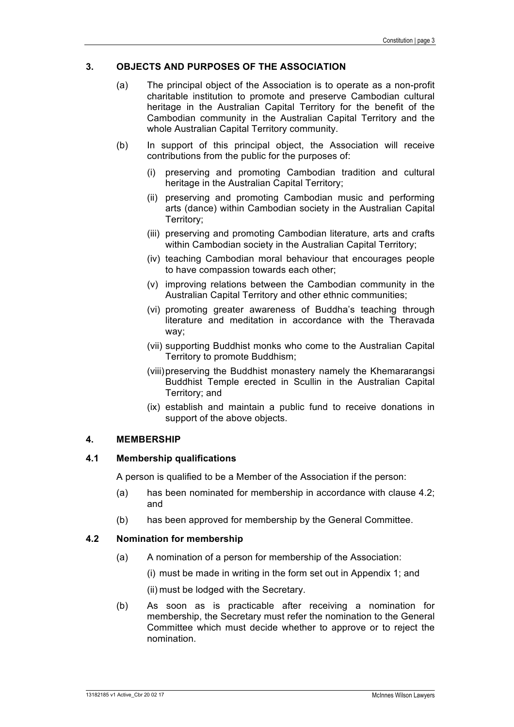#### **3. OBJECTS AND PURPOSES OF THE ASSOCIATION**

- (a) The principal object of the Association is to operate as a non-profit charitable institution to promote and preserve Cambodian cultural heritage in the Australian Capital Territory for the benefit of the Cambodian community in the Australian Capital Territory and the whole Australian Capital Territory community.
- (b) In support of this principal object, the Association will receive contributions from the public for the purposes of:
	- (i) preserving and promoting Cambodian tradition and cultural heritage in the Australian Capital Territory;
	- (ii) preserving and promoting Cambodian music and performing arts (dance) within Cambodian society in the Australian Capital Territory;
	- (iii) preserving and promoting Cambodian literature, arts and crafts within Cambodian society in the Australian Capital Territory;
	- (iv) teaching Cambodian moral behaviour that encourages people to have compassion towards each other;
	- (v) improving relations between the Cambodian community in the Australian Capital Territory and other ethnic communities;
	- (vi) promoting greater awareness of Buddha's teaching through literature and meditation in accordance with the Theravada way;
	- (vii) supporting Buddhist monks who come to the Australian Capital Territory to promote Buddhism;
	- (viii)preserving the Buddhist monastery namely the Khemararangsi Buddhist Temple erected in Scullin in the Australian Capital Territory; and
	- (ix) establish and maintain a public fund to receive donations in support of the above objects.

#### **4. MEMBERSHIP**

#### **4.1 Membership qualifications**

A person is qualified to be a Member of the Association if the person:

- (a) has been nominated for membership in accordance with clause 4.2; and
- (b) has been approved for membership by the General Committee.

#### **4.2 Nomination for membership**

- (a) A nomination of a person for membership of the Association:
	- (i) must be made in writing in the form set out in Appendix 1; and
	- (ii) must be lodged with the Secretary.
- (b) As soon as is practicable after receiving a nomination for membership, the Secretary must refer the nomination to the General Committee which must decide whether to approve or to reject the nomination.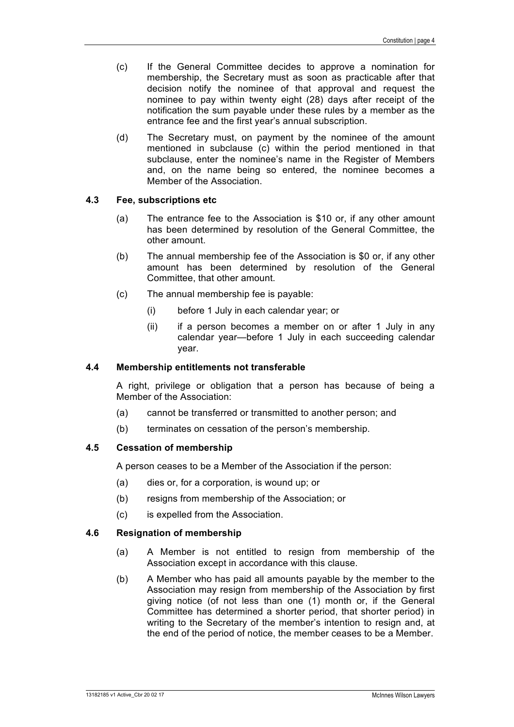- (c) If the General Committee decides to approve a nomination for membership, the Secretary must as soon as practicable after that decision notify the nominee of that approval and request the nominee to pay within twenty eight (28) days after receipt of the notification the sum payable under these rules by a member as the entrance fee and the first year's annual subscription.
- (d) The Secretary must, on payment by the nominee of the amount mentioned in subclause (c) within the period mentioned in that subclause, enter the nominee's name in the Register of Members and, on the name being so entered, the nominee becomes a Member of the Association.

#### **4.3 Fee, subscriptions etc**

- (a) The entrance fee to the Association is \$10 or, if any other amount has been determined by resolution of the General Committee, the other amount.
- (b) The annual membership fee of the Association is \$0 or, if any other amount has been determined by resolution of the General Committee, that other amount.
- (c) The annual membership fee is payable:
	- (i) before 1 July in each calendar year; or
	- (ii) if a person becomes a member on or after 1 July in any calendar year—before 1 July in each succeeding calendar year.

#### **4.4 Membership entitlements not transferable**

A right, privilege or obligation that a person has because of being a Member of the Association:

- (a) cannot be transferred or transmitted to another person; and
- (b) terminates on cessation of the person's membership.

#### **4.5 Cessation of membership**

A person ceases to be a Member of the Association if the person:

- (a) dies or, for a corporation, is wound up; or
- (b) resigns from membership of the Association; or
- (c) is expelled from the Association.

#### **4.6 Resignation of membership**

- (a) A Member is not entitled to resign from membership of the Association except in accordance with this clause.
- (b) A Member who has paid all amounts payable by the member to the Association may resign from membership of the Association by first giving notice (of not less than one (1) month or, if the General Committee has determined a shorter period, that shorter period) in writing to the Secretary of the member's intention to resign and, at the end of the period of notice, the member ceases to be a Member.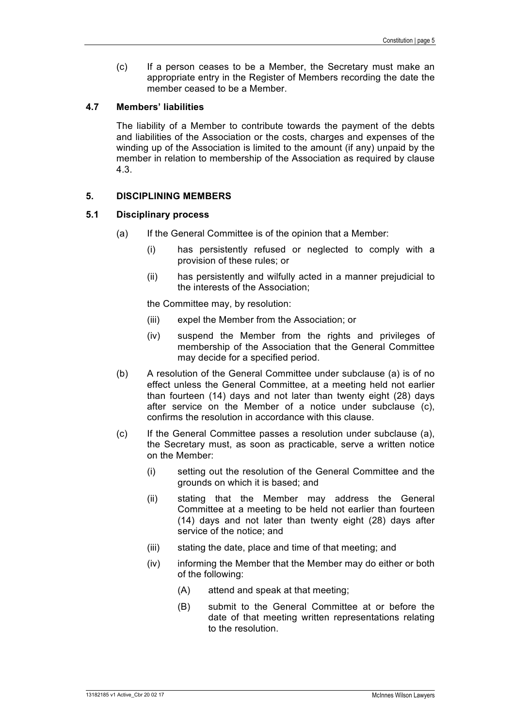(c) If a person ceases to be a Member, the Secretary must make an appropriate entry in the Register of Members recording the date the member ceased to be a Member.

#### **4.7 Members' liabilities**

The liability of a Member to contribute towards the payment of the debts and liabilities of the Association or the costs, charges and expenses of the winding up of the Association is limited to the amount (if any) unpaid by the member in relation to membership of the Association as required by clause 4.3.

#### **5. DISCIPLINING MEMBERS**

#### **5.1 Disciplinary process**

- (a) If the General Committee is of the opinion that a Member:
	- (i) has persistently refused or neglected to comply with a provision of these rules; or
	- (ii) has persistently and wilfully acted in a manner prejudicial to the interests of the Association;

the Committee may, by resolution:

- (iii) expel the Member from the Association; or
- (iv) suspend the Member from the rights and privileges of membership of the Association that the General Committee may decide for a specified period.
- (b) A resolution of the General Committee under subclause (a) is of no effect unless the General Committee, at a meeting held not earlier than fourteen (14) days and not later than twenty eight (28) days after service on the Member of a notice under subclause (c), confirms the resolution in accordance with this clause.
- (c) If the General Committee passes a resolution under subclause (a), the Secretary must, as soon as practicable, serve a written notice on the Member:
	- (i) setting out the resolution of the General Committee and the grounds on which it is based; and
	- (ii) stating that the Member may address the General Committee at a meeting to be held not earlier than fourteen (14) days and not later than twenty eight (28) days after service of the notice; and
	- (iii) stating the date, place and time of that meeting; and
	- (iv) informing the Member that the Member may do either or both of the following:
		- (A) attend and speak at that meeting;
		- (B) submit to the General Committee at or before the date of that meeting written representations relating to the resolution.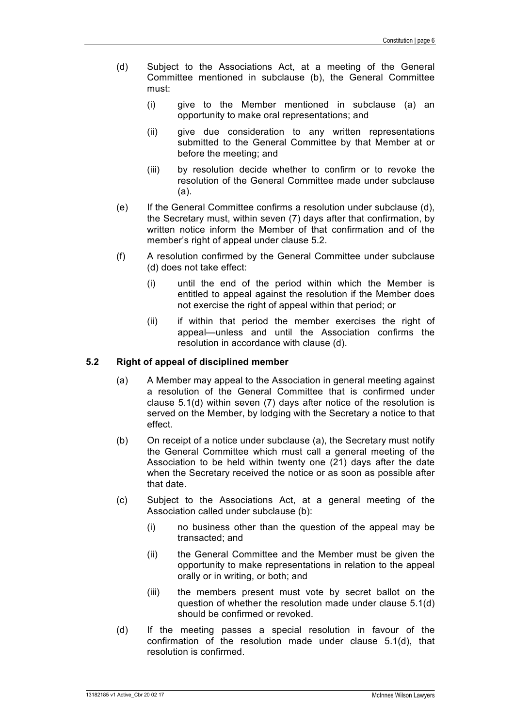- (d) Subject to the Associations Act, at a meeting of the General Committee mentioned in subclause (b), the General Committee must:
	- (i) give to the Member mentioned in subclause (a) an opportunity to make oral representations; and
	- (ii) give due consideration to any written representations submitted to the General Committee by that Member at or before the meeting; and
	- (iii) by resolution decide whether to confirm or to revoke the resolution of the General Committee made under subclause (a).
- (e) If the General Committee confirms a resolution under subclause (d), the Secretary must, within seven (7) days after that confirmation, by written notice inform the Member of that confirmation and of the member's right of appeal under clause 5.2.
- (f) A resolution confirmed by the General Committee under subclause (d) does not take effect:
	- (i) until the end of the period within which the Member is entitled to appeal against the resolution if the Member does not exercise the right of appeal within that period; or
	- (ii) if within that period the member exercises the right of appeal—unless and until the Association confirms the resolution in accordance with clause (d).

#### **5.2 Right of appeal of disciplined member**

- (a) A Member may appeal to the Association in general meeting against a resolution of the General Committee that is confirmed under clause 5.1(d) within seven (7) days after notice of the resolution is served on the Member, by lodging with the Secretary a notice to that effect.
- (b) On receipt of a notice under subclause (a), the Secretary must notify the General Committee which must call a general meeting of the Association to be held within twenty one (21) days after the date when the Secretary received the notice or as soon as possible after that date.
- (c) Subject to the Associations Act, at a general meeting of the Association called under subclause (b):
	- (i) no business other than the question of the appeal may be transacted; and
	- (ii) the General Committee and the Member must be given the opportunity to make representations in relation to the appeal orally or in writing, or both; and
	- (iii) the members present must vote by secret ballot on the question of whether the resolution made under clause 5.1(d) should be confirmed or revoked.
- (d) If the meeting passes a special resolution in favour of the confirmation of the resolution made under clause 5.1(d), that resolution is confirmed.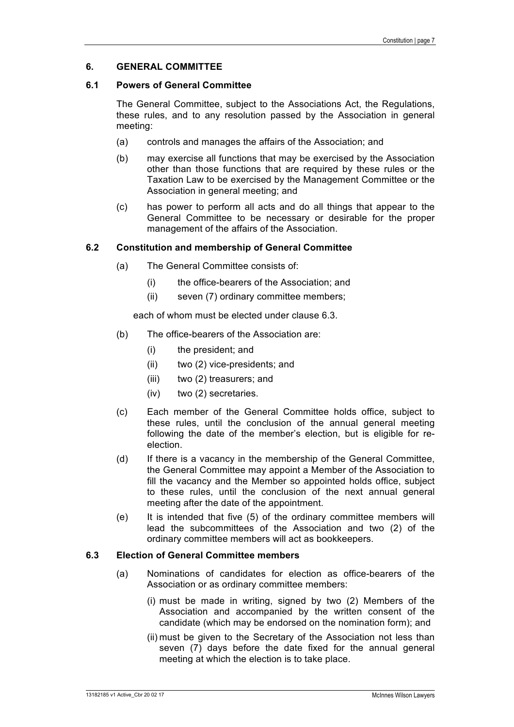#### **6. GENERAL COMMITTEE**

#### **6.1 Powers of General Committee**

The General Committee, subject to the Associations Act, the Regulations, these rules, and to any resolution passed by the Association in general meeting:

- (a) controls and manages the affairs of the Association; and
- (b) may exercise all functions that may be exercised by the Association other than those functions that are required by these rules or the Taxation Law to be exercised by the Management Committee or the Association in general meeting; and
- (c) has power to perform all acts and do all things that appear to the General Committee to be necessary or desirable for the proper management of the affairs of the Association.

#### **6.2 Constitution and membership of General Committee**

- (a) The General Committee consists of:
	- (i) the office-bearers of the Association; and
	- (ii) seven (7) ordinary committee members;

each of whom must be elected under clause 6.3.

- (b) The office-bearers of the Association are:
	- (i) the president; and
	- (ii) two (2) vice-presidents; and
	- (iii) two (2) treasurers; and
	- (iv) two (2) secretaries.
- (c) Each member of the General Committee holds office, subject to these rules, until the conclusion of the annual general meeting following the date of the member's election, but is eligible for reelection.
- (d) If there is a vacancy in the membership of the General Committee, the General Committee may appoint a Member of the Association to fill the vacancy and the Member so appointed holds office, subject to these rules, until the conclusion of the next annual general meeting after the date of the appointment.
- (e) It is intended that five (5) of the ordinary committee members will lead the subcommittees of the Association and two (2) of the ordinary committee members will act as bookkeepers.

#### **6.3 Election of General Committee members**

- (a) Nominations of candidates for election as office-bearers of the Association or as ordinary committee members:
	- (i) must be made in writing, signed by two (2) Members of the Association and accompanied by the written consent of the candidate (which may be endorsed on the nomination form); and
	- (ii) must be given to the Secretary of the Association not less than seven (7) days before the date fixed for the annual general meeting at which the election is to take place.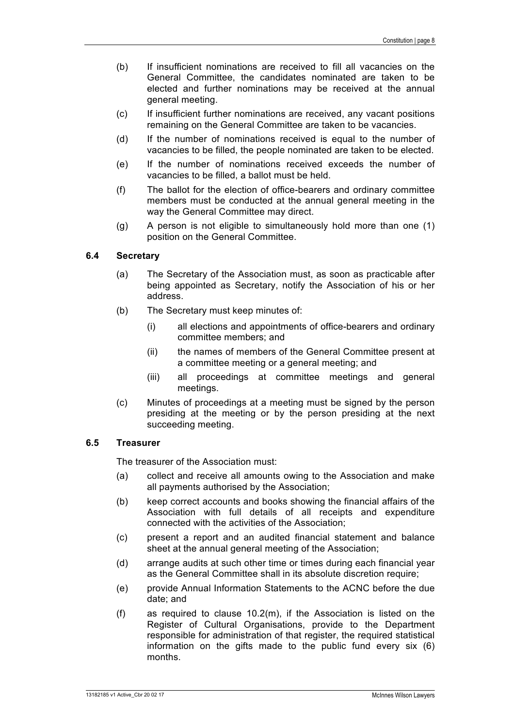- (b) If insufficient nominations are received to fill all vacancies on the General Committee, the candidates nominated are taken to be elected and further nominations may be received at the annual general meeting.
- (c) If insufficient further nominations are received, any vacant positions remaining on the General Committee are taken to be vacancies.
- (d) If the number of nominations received is equal to the number of vacancies to be filled, the people nominated are taken to be elected.
- (e) If the number of nominations received exceeds the number of vacancies to be filled, a ballot must be held.
- (f) The ballot for the election of office-bearers and ordinary committee members must be conducted at the annual general meeting in the way the General Committee may direct.
- (g) A person is not eligible to simultaneously hold more than one (1) position on the General Committee.

#### **6.4 Secretary**

- (a) The Secretary of the Association must, as soon as practicable after being appointed as Secretary, notify the Association of his or her address.
- (b) The Secretary must keep minutes of:
	- (i) all elections and appointments of office-bearers and ordinary committee members; and
	- (ii) the names of members of the General Committee present at a committee meeting or a general meeting; and
	- (iii) all proceedings at committee meetings and general meetings.
- (c) Minutes of proceedings at a meeting must be signed by the person presiding at the meeting or by the person presiding at the next succeeding meeting.

#### **6.5 Treasurer**

The treasurer of the Association must:

- (a) collect and receive all amounts owing to the Association and make all payments authorised by the Association;
- (b) keep correct accounts and books showing the financial affairs of the Association with full details of all receipts and expenditure connected with the activities of the Association;
- (c) present a report and an audited financial statement and balance sheet at the annual general meeting of the Association;
- (d) arrange audits at such other time or times during each financial year as the General Committee shall in its absolute discretion require;
- (e) provide Annual Information Statements to the ACNC before the due date; and
- (f) as required to clause 10.2(m), if the Association is listed on the Register of Cultural Organisations, provide to the Department responsible for administration of that register, the required statistical information on the gifts made to the public fund every six (6) months.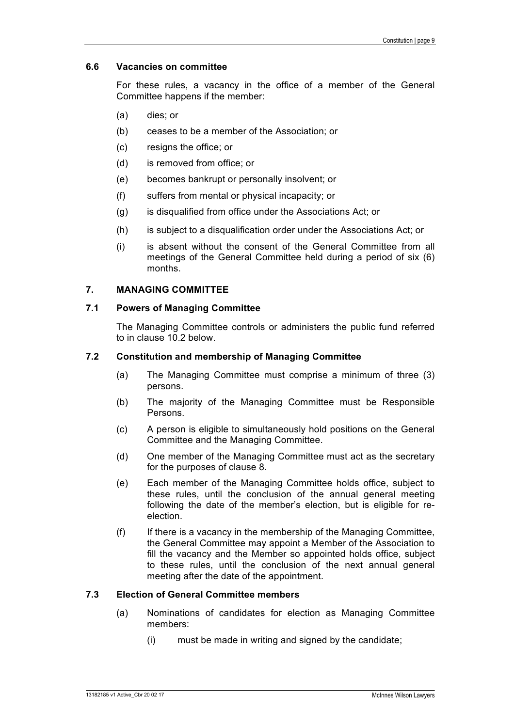#### **6.6 Vacancies on committee**

For these rules, a vacancy in the office of a member of the General Committee happens if the member:

- (a) dies; or
- (b) ceases to be a member of the Association; or
- (c) resigns the office; or
- (d) is removed from office; or
- (e) becomes bankrupt or personally insolvent; or
- (f) suffers from mental or physical incapacity; or
- (g) is disqualified from office under the Associations Act; or
- (h) is subject to a disqualification order under the Associations Act; or
- (i) is absent without the consent of the General Committee from all meetings of the General Committee held during a period of six (6) months.

#### **7. MANAGING COMMITTEE**

#### **7.1 Powers of Managing Committee**

The Managing Committee controls or administers the public fund referred to in clause 10.2 below.

#### **7.2 Constitution and membership of Managing Committee**

- (a) The Managing Committee must comprise a minimum of three (3) persons.
- (b) The majority of the Managing Committee must be Responsible Persons.
- (c) A person is eligible to simultaneously hold positions on the General Committee and the Managing Committee.
- (d) One member of the Managing Committee must act as the secretary for the purposes of clause 8.
- (e) Each member of the Managing Committee holds office, subject to these rules, until the conclusion of the annual general meeting following the date of the member's election, but is eligible for reelection.
- (f) If there is a vacancy in the membership of the Managing Committee, the General Committee may appoint a Member of the Association to fill the vacancy and the Member so appointed holds office, subject to these rules, until the conclusion of the next annual general meeting after the date of the appointment.

#### **7.3 Election of General Committee members**

- (a) Nominations of candidates for election as Managing Committee members:
	- (i) must be made in writing and signed by the candidate;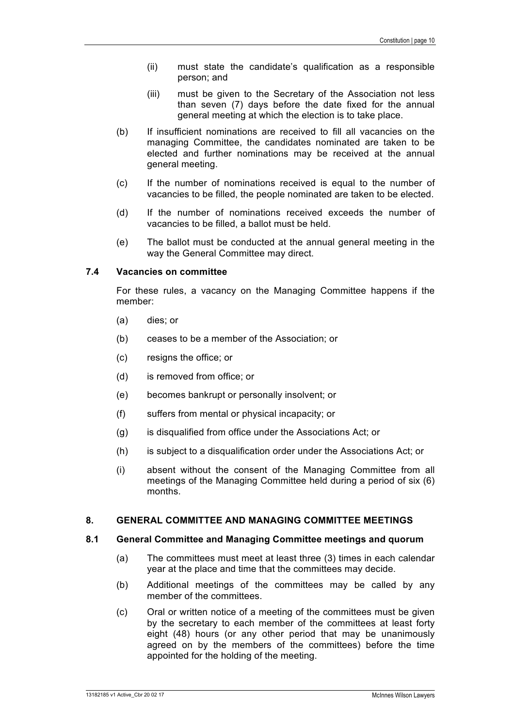- (ii) must state the candidate's qualification as a responsible person; and
- (iii) must be given to the Secretary of the Association not less than seven (7) days before the date fixed for the annual general meeting at which the election is to take place.
- (b) If insufficient nominations are received to fill all vacancies on the managing Committee, the candidates nominated are taken to be elected and further nominations may be received at the annual general meeting.
- (c) If the number of nominations received is equal to the number of vacancies to be filled, the people nominated are taken to be elected.
- (d) If the number of nominations received exceeds the number of vacancies to be filled, a ballot must be held.
- (e) The ballot must be conducted at the annual general meeting in the way the General Committee may direct.

#### **7.4 Vacancies on committee**

For these rules, a vacancy on the Managing Committee happens if the member:

- (a) dies; or
- (b) ceases to be a member of the Association; or
- (c) resigns the office; or
- (d) is removed from office; or
- (e) becomes bankrupt or personally insolvent; or
- (f) suffers from mental or physical incapacity; or
- (g) is disqualified from office under the Associations Act; or
- (h) is subject to a disqualification order under the Associations Act; or
- (i) absent without the consent of the Managing Committee from all meetings of the Managing Committee held during a period of six (6) months.

#### **8. GENERAL COMMITTEE AND MANAGING COMMITTEE MEETINGS**

#### **8.1 General Committee and Managing Committee meetings and quorum**

- (a) The committees must meet at least three (3) times in each calendar year at the place and time that the committees may decide.
- (b) Additional meetings of the committees may be called by any member of the committees.
- (c) Oral or written notice of a meeting of the committees must be given by the secretary to each member of the committees at least forty eight (48) hours (or any other period that may be unanimously agreed on by the members of the committees) before the time appointed for the holding of the meeting.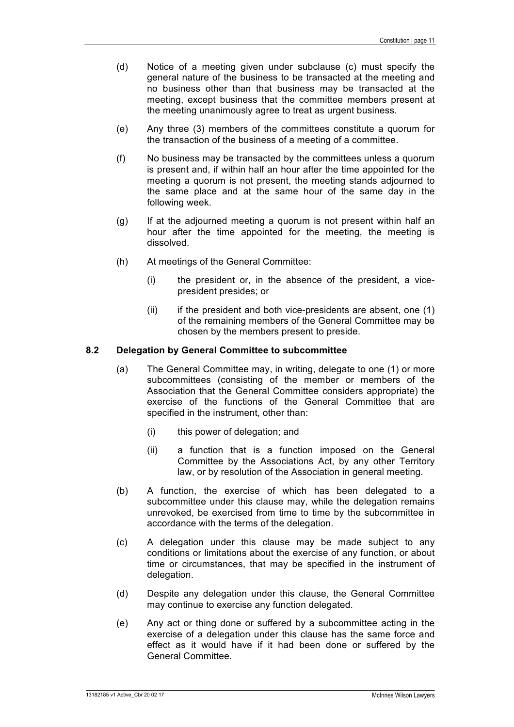- (d) Notice of a meeting given under subclause (c) must specify the general nature of the business to be transacted at the meeting and no business other than that business may be transacted at the meeting, except business that the committee members present at the meeting unanimously agree to treat as urgent business.
- (e) Any three (3) members of the committees constitute a quorum for the transaction of the business of a meeting of a committee.
- (f) No business may be transacted by the committees unless a quorum is present and, if within half an hour after the time appointed for the meeting a quorum is not present, the meeting stands adjourned to the same place and at the same hour of the same day in the following week.
- (g) If at the adjourned meeting a quorum is not present within half an hour after the time appointed for the meeting, the meeting is dissolved.
- (h) At meetings of the General Committee:
	- (i) the president or, in the absence of the president, a vicepresident presides; or
	- $(ii)$  if the president and both vice-presidents are absent, one  $(1)$ of the remaining members of the General Committee may be chosen by the members present to preside.

#### **8.2 Delegation by General Committee to subcommittee**

- (a) The General Committee may, in writing, delegate to one (1) or more subcommittees (consisting of the member or members of the Association that the General Committee considers appropriate) the exercise of the functions of the General Committee that are specified in the instrument, other than:
	- (i) this power of delegation; and
	- (ii) a function that is a function imposed on the General Committee by the Associations Act, by any other Territory law, or by resolution of the Association in general meeting.
- (b) A function, the exercise of which has been delegated to a subcommittee under this clause may, while the delegation remains unrevoked, be exercised from time to time by the subcommittee in accordance with the terms of the delegation.
- (c) A delegation under this clause may be made subject to any conditions or limitations about the exercise of any function, or about time or circumstances, that may be specified in the instrument of delegation.
- (d) Despite any delegation under this clause, the General Committee may continue to exercise any function delegated.
- (e) Any act or thing done or suffered by a subcommittee acting in the exercise of a delegation under this clause has the same force and effect as it would have if it had been done or suffered by the General Committee.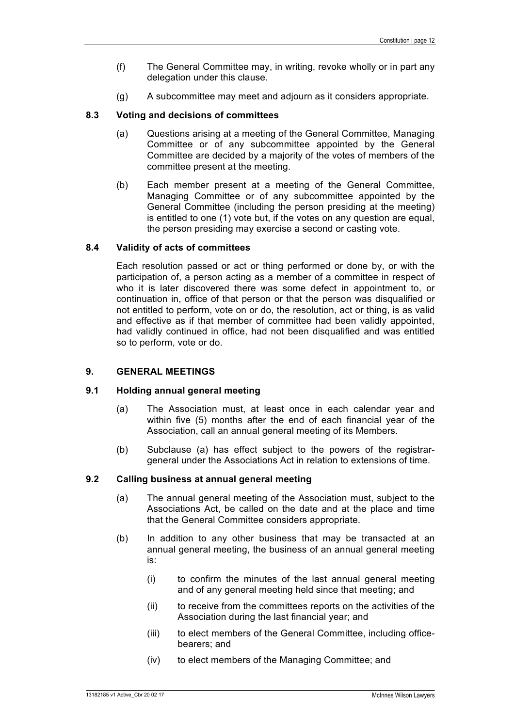- (f) The General Committee may, in writing, revoke wholly or in part any delegation under this clause.
- (g) A subcommittee may meet and adjourn as it considers appropriate.

#### **8.3 Voting and decisions of committees**

- (a) Questions arising at a meeting of the General Committee, Managing Committee or of any subcommittee appointed by the General Committee are decided by a majority of the votes of members of the committee present at the meeting.
- (b) Each member present at a meeting of the General Committee, Managing Committee or of any subcommittee appointed by the General Committee (including the person presiding at the meeting) is entitled to one (1) vote but, if the votes on any question are equal, the person presiding may exercise a second or casting vote.

#### **8.4 Validity of acts of committees**

Each resolution passed or act or thing performed or done by, or with the participation of, a person acting as a member of a committee in respect of who it is later discovered there was some defect in appointment to, or continuation in, office of that person or that the person was disqualified or not entitled to perform, vote on or do, the resolution, act or thing, is as valid and effective as if that member of committee had been validly appointed, had validly continued in office, had not been disqualified and was entitled so to perform, vote or do.

#### **9. GENERAL MEETINGS**

#### **9.1 Holding annual general meeting**

- (a) The Association must, at least once in each calendar year and within five (5) months after the end of each financial year of the Association, call an annual general meeting of its Members.
- (b) Subclause (a) has effect subject to the powers of the registrargeneral under the Associations Act in relation to extensions of time.

#### **9.2 Calling business at annual general meeting**

- (a) The annual general meeting of the Association must, subject to the Associations Act, be called on the date and at the place and time that the General Committee considers appropriate.
- (b) In addition to any other business that may be transacted at an annual general meeting, the business of an annual general meeting is:
	- (i) to confirm the minutes of the last annual general meeting and of any general meeting held since that meeting; and
	- (ii) to receive from the committees reports on the activities of the Association during the last financial year; and
	- (iii) to elect members of the General Committee, including officebearers; and
	- (iv) to elect members of the Managing Committee; and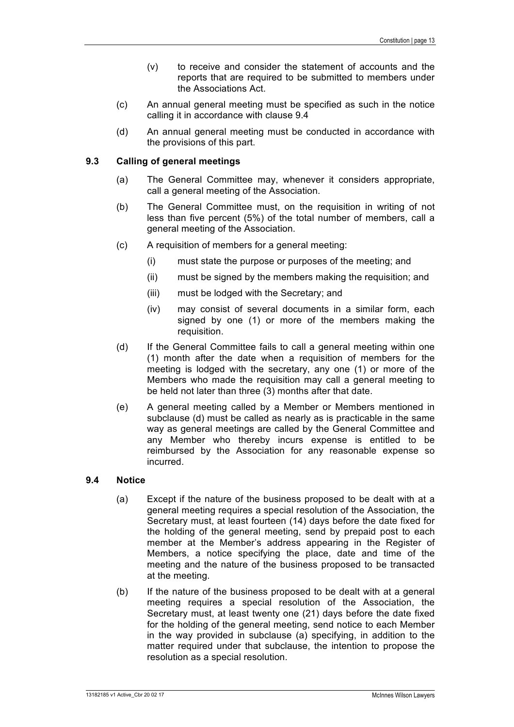- (v) to receive and consider the statement of accounts and the reports that are required to be submitted to members under the Associations Act.
- (c) An annual general meeting must be specified as such in the notice calling it in accordance with clause 9.4
- (d) An annual general meeting must be conducted in accordance with the provisions of this part.

#### **9.3 Calling of general meetings**

- (a) The General Committee may, whenever it considers appropriate, call a general meeting of the Association.
- (b) The General Committee must, on the requisition in writing of not less than five percent (5%) of the total number of members, call a general meeting of the Association.
- (c) A requisition of members for a general meeting:
	- (i) must state the purpose or purposes of the meeting; and
	- (ii) must be signed by the members making the requisition; and
	- (iii) must be lodged with the Secretary; and
	- (iv) may consist of several documents in a similar form, each signed by one (1) or more of the members making the requisition.
- (d) If the General Committee fails to call a general meeting within one (1) month after the date when a requisition of members for the meeting is lodged with the secretary, any one (1) or more of the Members who made the requisition may call a general meeting to be held not later than three (3) months after that date.
- (e) A general meeting called by a Member or Members mentioned in subclause (d) must be called as nearly as is practicable in the same way as general meetings are called by the General Committee and any Member who thereby incurs expense is entitled to be reimbursed by the Association for any reasonable expense so incurred.

#### **9.4 Notice**

- (a) Except if the nature of the business proposed to be dealt with at a general meeting requires a special resolution of the Association, the Secretary must, at least fourteen (14) days before the date fixed for the holding of the general meeting, send by prepaid post to each member at the Member's address appearing in the Register of Members, a notice specifying the place, date and time of the meeting and the nature of the business proposed to be transacted at the meeting.
- (b) If the nature of the business proposed to be dealt with at a general meeting requires a special resolution of the Association, the Secretary must, at least twenty one (21) days before the date fixed for the holding of the general meeting, send notice to each Member in the way provided in subclause (a) specifying, in addition to the matter required under that subclause, the intention to propose the resolution as a special resolution.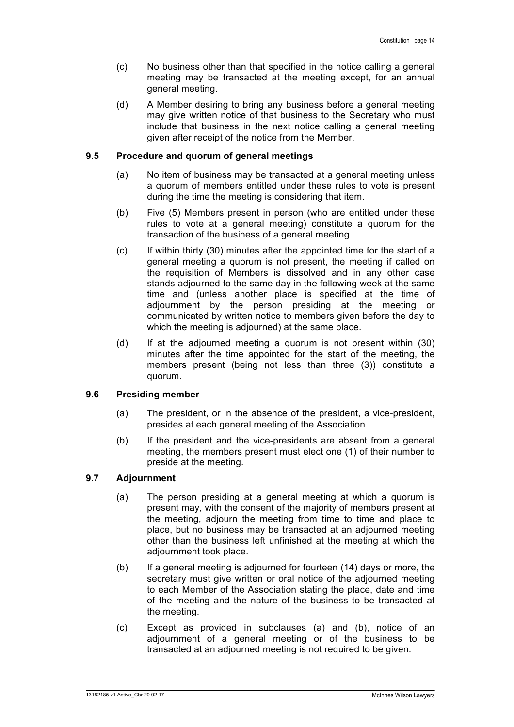- (c) No business other than that specified in the notice calling a general meeting may be transacted at the meeting except, for an annual general meeting.
- (d) A Member desiring to bring any business before a general meeting may give written notice of that business to the Secretary who must include that business in the next notice calling a general meeting given after receipt of the notice from the Member.

#### **9.5 Procedure and quorum of general meetings**

- (a) No item of business may be transacted at a general meeting unless a quorum of members entitled under these rules to vote is present during the time the meeting is considering that item.
- (b) Five (5) Members present in person (who are entitled under these rules to vote at a general meeting) constitute a quorum for the transaction of the business of a general meeting.
- (c) If within thirty (30) minutes after the appointed time for the start of a general meeting a quorum is not present, the meeting if called on the requisition of Members is dissolved and in any other case stands adjourned to the same day in the following week at the same time and (unless another place is specified at the time of adjournment by the person presiding at the meeting or communicated by written notice to members given before the day to which the meeting is adjourned) at the same place.
- (d) If at the adjourned meeting a quorum is not present within (30) minutes after the time appointed for the start of the meeting, the members present (being not less than three (3)) constitute a quorum.

#### **9.6 Presiding member**

- (a) The president, or in the absence of the president, a vice-president, presides at each general meeting of the Association.
- (b) If the president and the vice-presidents are absent from a general meeting, the members present must elect one (1) of their number to preside at the meeting.

#### **9.7 Adjournment**

- (a) The person presiding at a general meeting at which a quorum is present may, with the consent of the majority of members present at the meeting, adjourn the meeting from time to time and place to place, but no business may be transacted at an adjourned meeting other than the business left unfinished at the meeting at which the adjournment took place.
- (b) If a general meeting is adjourned for fourteen (14) days or more, the secretary must give written or oral notice of the adjourned meeting to each Member of the Association stating the place, date and time of the meeting and the nature of the business to be transacted at the meeting.
- (c) Except as provided in subclauses (a) and (b), notice of an adjournment of a general meeting or of the business to be transacted at an adjourned meeting is not required to be given.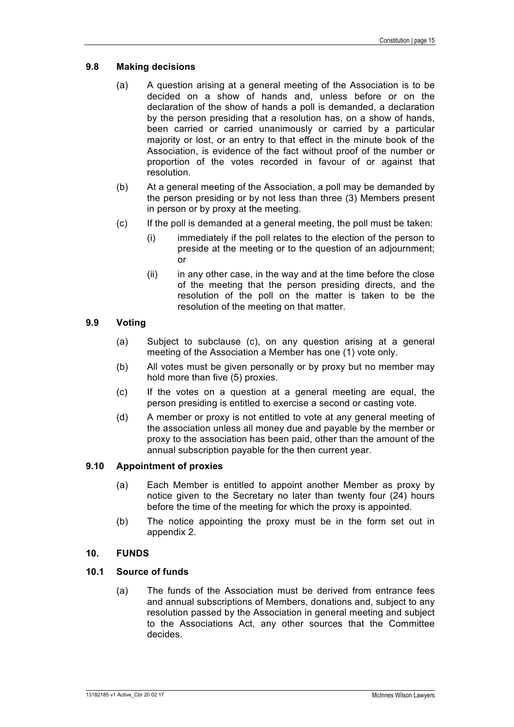#### **9.8 Making decisions**

- (a) A question arising at a general meeting of the Association is to be decided on a show of hands and, unless before or on the declaration of the show of hands a poll is demanded, a declaration by the person presiding that a resolution has, on a show of hands, been carried or carried unanimously or carried by a particular majority or lost, or an entry to that effect in the minute book of the Association, is evidence of the fact without proof of the number or proportion of the votes recorded in favour of or against that resolution.
- (b) At a general meeting of the Association, a poll may be demanded by the person presiding or by not less than three (3) Members present in person or by proxy at the meeting.
- (c) If the poll is demanded at a general meeting, the poll must be taken:
	- (i) immediately if the poll relates to the election of the person to preside at the meeting or to the question of an adjournment; or
	- $(ii)$  in any other case, in the way and at the time before the close of the meeting that the person presiding directs, and the resolution of the poll on the matter is taken to be the resolution of the meeting on that matter.

#### **9.9 Voting**

- (a) Subject to subclause (c), on any question arising at a general meeting of the Association a Member has one (1) vote only.
- (b) All votes must be given personally or by proxy but no member may hold more than five (5) proxies.
- (c) If the votes on a question at a general meeting are equal, the person presiding is entitled to exercise a second or casting vote.
- (d) A member or proxy is not entitled to vote at any general meeting of the association unless all money due and payable by the member or proxy to the association has been paid, other than the amount of the annual subscription payable for the then current year.

#### **9.10 Appointment of proxies**

- (a) Each Member is entitled to appoint another Member as proxy by notice given to the Secretary no later than twenty four (24) hours before the time of the meeting for which the proxy is appointed.
- (b) The notice appointing the proxy must be in the form set out in appendix 2.

#### **10. FUNDS**

#### **10.1 Source of funds**

(a) The funds of the Association must be derived from entrance fees and annual subscriptions of Members, donations and, subject to any resolution passed by the Association in general meeting and subject to the Associations Act, any other sources that the Committee decides.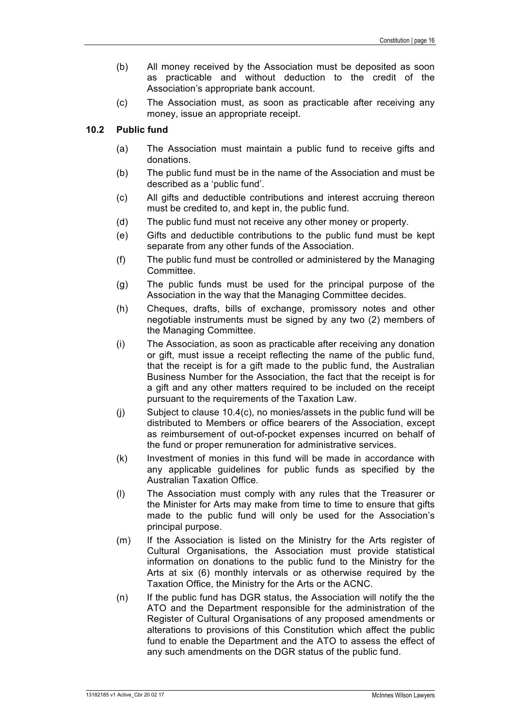- (b) All money received by the Association must be deposited as soon as practicable and without deduction to the credit of the Association's appropriate bank account.
- (c) The Association must, as soon as practicable after receiving any money, issue an appropriate receipt.

#### **10.2 Public fund**

- (a) The Association must maintain a public fund to receive gifts and donations.
- (b) The public fund must be in the name of the Association and must be described as a 'public fund'.
- (c) All gifts and deductible contributions and interest accruing thereon must be credited to, and kept in, the public fund.
- (d) The public fund must not receive any other money or property.
- (e) Gifts and deductible contributions to the public fund must be kept separate from any other funds of the Association.
- (f) The public fund must be controlled or administered by the Managing Committee.
- (g) The public funds must be used for the principal purpose of the Association in the way that the Managing Committee decides.
- (h) Cheques, drafts, bills of exchange, promissory notes and other negotiable instruments must be signed by any two (2) members of the Managing Committee.
- (i) The Association, as soon as practicable after receiving any donation or gift, must issue a receipt reflecting the name of the public fund, that the receipt is for a gift made to the public fund, the Australian Business Number for the Association, the fact that the receipt is for a gift and any other matters required to be included on the receipt pursuant to the requirements of the Taxation Law.
- (j) Subject to clause 10.4(c), no monies/assets in the public fund will be distributed to Members or office bearers of the Association, except as reimbursement of out-of-pocket expenses incurred on behalf of the fund or proper remuneration for administrative services.
- (k) Investment of monies in this fund will be made in accordance with any applicable guidelines for public funds as specified by the Australian Taxation Office.
- (l) The Association must comply with any rules that the Treasurer or the Minister for Arts may make from time to time to ensure that gifts made to the public fund will only be used for the Association's principal purpose.
- (m) If the Association is listed on the Ministry for the Arts register of Cultural Organisations, the Association must provide statistical information on donations to the public fund to the Ministry for the Arts at six (6) monthly intervals or as otherwise required by the Taxation Office, the Ministry for the Arts or the ACNC.
- (n) If the public fund has DGR status, the Association will notify the the ATO and the Department responsible for the administration of the Register of Cultural Organisations of any proposed amendments or alterations to provisions of this Constitution which affect the public fund to enable the Department and the ATO to assess the effect of any such amendments on the DGR status of the public fund.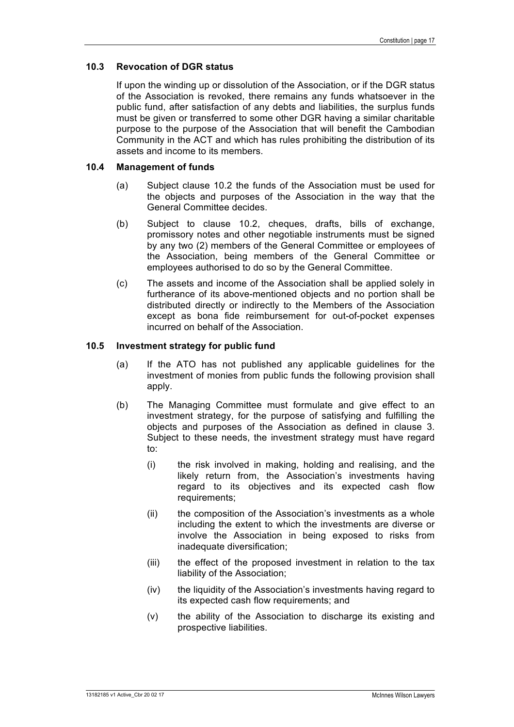#### **10.3 Revocation of DGR status**

If upon the winding up or dissolution of the Association, or if the DGR status of the Association is revoked, there remains any funds whatsoever in the public fund, after satisfaction of any debts and liabilities, the surplus funds must be given or transferred to some other DGR having a similar charitable purpose to the purpose of the Association that will benefit the Cambodian Community in the ACT and which has rules prohibiting the distribution of its assets and income to its members.

#### **10.4 Management of funds**

- (a) Subject clause 10.2 the funds of the Association must be used for the objects and purposes of the Association in the way that the General Committee decides.
- (b) Subject to clause 10.2, cheques, drafts, bills of exchange, promissory notes and other negotiable instruments must be signed by any two (2) members of the General Committee or employees of the Association, being members of the General Committee or employees authorised to do so by the General Committee.
- (c) The assets and income of the Association shall be applied solely in furtherance of its above-mentioned objects and no portion shall be distributed directly or indirectly to the Members of the Association except as bona fide reimbursement for out-of-pocket expenses incurred on behalf of the Association.

#### **10.5 Investment strategy for public fund**

- (a) If the ATO has not published any applicable guidelines for the investment of monies from public funds the following provision shall apply.
- (b) The Managing Committee must formulate and give effect to an investment strategy, for the purpose of satisfying and fulfilling the objects and purposes of the Association as defined in clause 3. Subject to these needs, the investment strategy must have regard to:
	- (i) the risk involved in making, holding and realising, and the likely return from, the Association's investments having regard to its objectives and its expected cash flow requirements:
	- (ii) the composition of the Association's investments as a whole including the extent to which the investments are diverse or involve the Association in being exposed to risks from inadequate diversification;
	- (iii) the effect of the proposed investment in relation to the tax liability of the Association;
	- (iv) the liquidity of the Association's investments having regard to its expected cash flow requirements; and
	- (v) the ability of the Association to discharge its existing and prospective liabilities.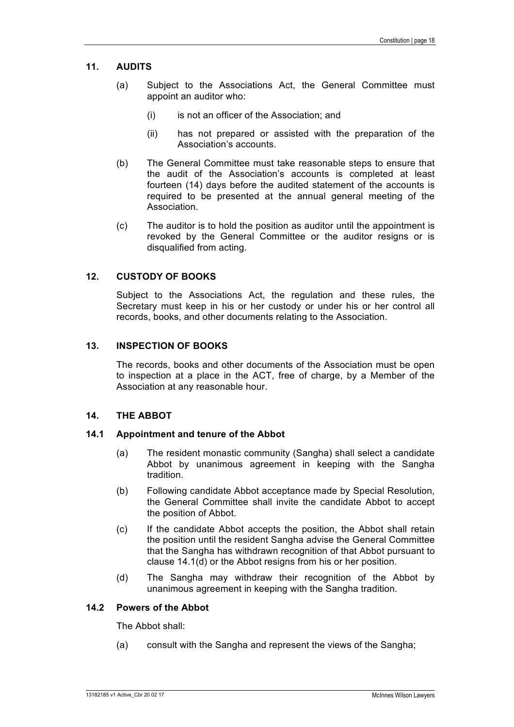#### **11. AUDITS**

- (a) Subject to the Associations Act, the General Committee must appoint an auditor who:
	- (i) is not an officer of the Association; and
	- (ii) has not prepared or assisted with the preparation of the Association's accounts.
- (b) The General Committee must take reasonable steps to ensure that the audit of the Association's accounts is completed at least fourteen (14) days before the audited statement of the accounts is required to be presented at the annual general meeting of the Association.
- (c) The auditor is to hold the position as auditor until the appointment is revoked by the General Committee or the auditor resigns or is disqualified from acting.

#### **12. CUSTODY OF BOOKS**

Subject to the Associations Act, the regulation and these rules, the Secretary must keep in his or her custody or under his or her control all records, books, and other documents relating to the Association.

#### **13. INSPECTION OF BOOKS**

The records, books and other documents of the Association must be open to inspection at a place in the ACT, free of charge, by a Member of the Association at any reasonable hour.

#### **14. THE ABBOT**

#### **14.1 Appointment and tenure of the Abbot**

- (a) The resident monastic community (Sangha) shall select a candidate Abbot by unanimous agreement in keeping with the Sangha tradition.
- (b) Following candidate Abbot acceptance made by Special Resolution, the General Committee shall invite the candidate Abbot to accept the position of Abbot.
- (c) If the candidate Abbot accepts the position, the Abbot shall retain the position until the resident Sangha advise the General Committee that the Sangha has withdrawn recognition of that Abbot pursuant to clause 14.1(d) or the Abbot resigns from his or her position.
- (d) The Sangha may withdraw their recognition of the Abbot by unanimous agreement in keeping with the Sangha tradition.

#### **14.2 Powers of the Abbot**

The Abbot shall:

(a) consult with the Sangha and represent the views of the Sangha;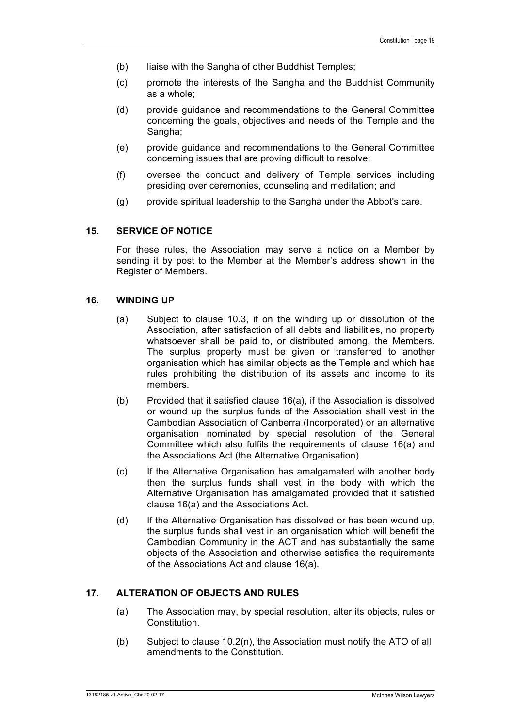- (b) liaise with the Sangha of other Buddhist Temples;
- (c) promote the interests of the Sangha and the Buddhist Community as a whole;
- (d) provide guidance and recommendations to the General Committee concerning the goals, objectives and needs of the Temple and the Sangha:
- (e) provide guidance and recommendations to the General Committee concerning issues that are proving difficult to resolve;
- (f) oversee the conduct and delivery of Temple services including presiding over ceremonies, counseling and meditation; and
- (g) provide spiritual leadership to the Sangha under the Abbot's care.

#### **15. SERVICE OF NOTICE**

For these rules, the Association may serve a notice on a Member by sending it by post to the Member at the Member's address shown in the Register of Members.

#### **16. WINDING UP**

- (a) Subject to clause 10.3, if on the winding up or dissolution of the Association, after satisfaction of all debts and liabilities, no property whatsoever shall be paid to, or distributed among, the Members. The surplus property must be given or transferred to another organisation which has similar objects as the Temple and which has rules prohibiting the distribution of its assets and income to its members.
- (b) Provided that it satisfied clause 16(a), if the Association is dissolved or wound up the surplus funds of the Association shall vest in the Cambodian Association of Canberra (Incorporated) or an alternative organisation nominated by special resolution of the General Committee which also fulfils the requirements of clause 16(a) and the Associations Act (the Alternative Organisation).
- (c) If the Alternative Organisation has amalgamated with another body then the surplus funds shall vest in the body with which the Alternative Organisation has amalgamated provided that it satisfied clause 16(a) and the Associations Act.
- (d) If the Alternative Organisation has dissolved or has been wound up, the surplus funds shall vest in an organisation which will benefit the Cambodian Community in the ACT and has substantially the same objects of the Association and otherwise satisfies the requirements of the Associations Act and clause 16(a).

#### **17. ALTERATION OF OBJECTS AND RULES**

- (a) The Association may, by special resolution, alter its objects, rules or Constitution.
- (b) Subject to clause 10.2(n), the Association must notify the ATO of all amendments to the Constitution.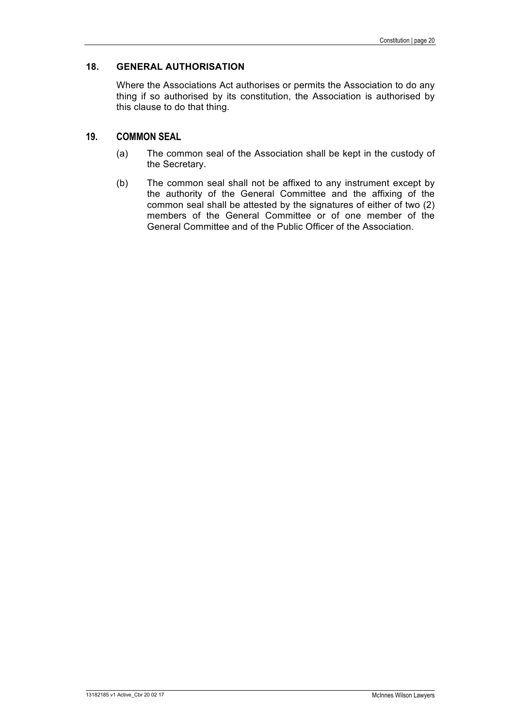#### **18. GENERAL AUTHORISATION**

Where the Associations Act authorises or permits the Association to do any thing if so authorised by its constitution, the Association is authorised by this clause to do that thing.

#### **19. COMMON SEAL**

- (a) The common seal of the Association shall be kept in the custody of the Secretary.
- (b) The common seal shall not be affixed to any instrument except by the authority of the General Committee and the affixing of the common seal shall be attested by the signatures of either of two (2) members of the General Committee or of one member of the General Committee and of the Public Officer of the Association.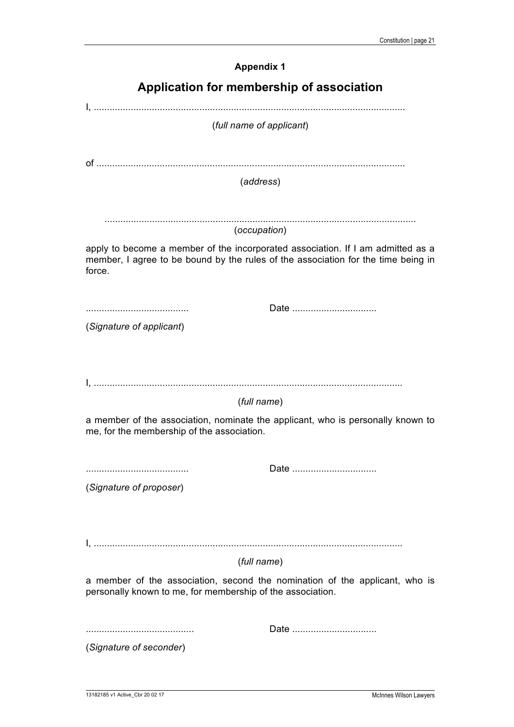| <b>Appendix 1</b>                                                                                                                                                              |  |  |  |  |
|--------------------------------------------------------------------------------------------------------------------------------------------------------------------------------|--|--|--|--|
| Application for membership of association                                                                                                                                      |  |  |  |  |
| (full name of applicant)                                                                                                                                                       |  |  |  |  |
| (address)                                                                                                                                                                      |  |  |  |  |
| (occupation)                                                                                                                                                                   |  |  |  |  |
| apply to become a member of the incorporated association. If I am admitted as a<br>member, I agree to be bound by the rules of the association for the time being in<br>force. |  |  |  |  |
| Date                                                                                                                                                                           |  |  |  |  |
| (Signature of applicant)                                                                                                                                                       |  |  |  |  |
| (full name)                                                                                                                                                                    |  |  |  |  |
| a member of the association, nominate the applicant, who is personally known to<br>me, for the membership of the association.                                                  |  |  |  |  |
|                                                                                                                                                                                |  |  |  |  |
| (Signature of proposer)                                                                                                                                                        |  |  |  |  |
| (full name)                                                                                                                                                                    |  |  |  |  |
| a member of the association, second the nomination of the applicant, who is<br>personally known to me, for membership of the association.                                      |  |  |  |  |
| Date                                                                                                                                                                           |  |  |  |  |
| (Signature of seconder)                                                                                                                                                        |  |  |  |  |